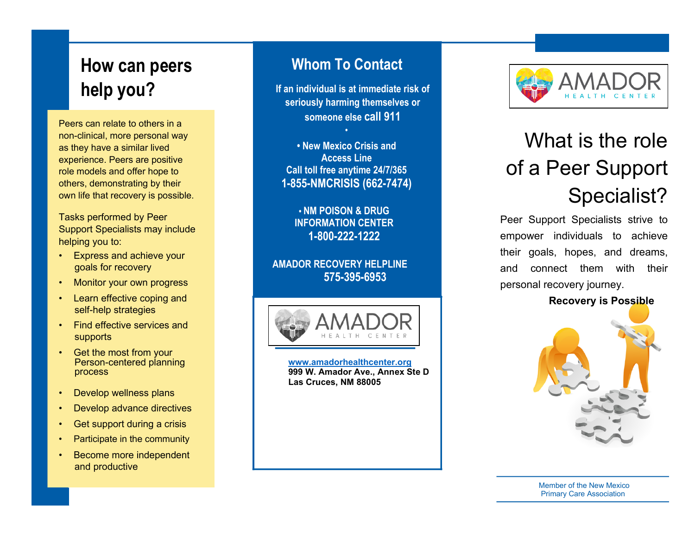## **How can peers help you?**

Peers can relate to others in a non -clinical, more personal way as they have a similar lived experience. Peers are positive role models and offer hope to others, demonstrating by their own life that recovery is possible.

Tasks pe rformed by Peer Support Specialists may include helping you to:

- Express and achieve your goals for recovery
- Monitor your own progress
- Learn effective coping and self -help strategies
- Find effective services and supports
- Get the most from y our Person - centered planning process
- Develop wellness p lans
- Develop advance directives
- Get support during a crisis
- Participate in the community
- Become more independent and productive

### **Whom To Contact**

**If an individual is at immediate risk of seriously harming themselves or someone else call 911**

**• New Mexico Crisis and Access Line Call toll free anytime 24/7/365 1 -855 -NMCRISIS (662 -7474)**

**•**

**• NM POISON & DRUG INFORMATION CENTER 1-800-222-1222**

**AMADOR R E COVERY HELP LINE 575 -395 -6953**



**www. [amadorhealthcenter.org](http://www.amadorhealthcenter.org/) 999 W. Amador Ave., Annex Ste D Las Cruces, NM 8 8005**



# What is the role of a Peer Support Specialist?

Peer Support Specialists strive to empower individuals to achieve their goals, hopes, and dreams, and connect them with their personal recovery journey.

**Recovery is Possible**